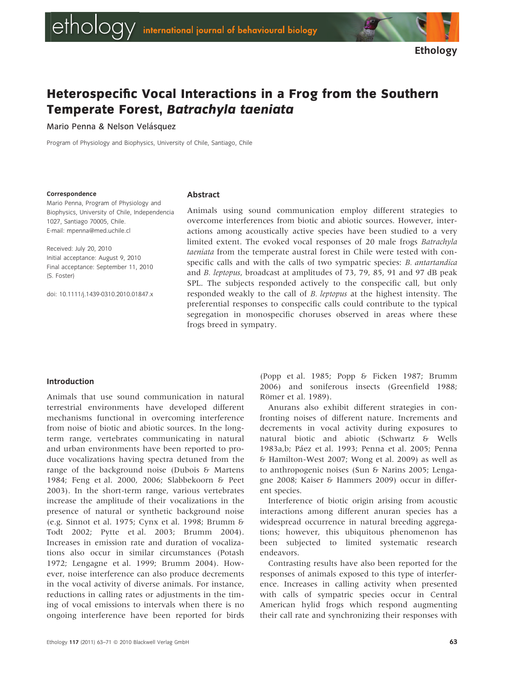# Heterospecific Vocal Interactions in a Frog from the Southern Temperate Forest, Batrachyla taeniata

Mario Penna & Nelson Velásquez

Program of Physiology and Biophysics, University of Chile, Santiago, Chile

#### **Correspondence**

Abstract

Mario Penna, Program of Physiology and Biophysics, University of Chile, Independencia 1027, Santiago 70005, Chile. E-mail: mpenna@med.uchile.cl

Received: July 20, 2010 Initial acceptance: August 9, 2010 Final acceptance: September 11, 2010 (S. Foster)

doi: 10.1111/j.1439-0310.2010.01847.x

Animals using sound communication employ different strategies to overcome interferences from biotic and abiotic sources. However, interactions among acoustically active species have been studied to a very limited extent. The evoked vocal responses of 20 male frogs Batrachyla taeniata from the temperate austral forest in Chile were tested with conspecific calls and with the calls of two sympatric species: B. antartandica and B. leptopus, broadcast at amplitudes of 73, 79, 85, 91 and 97 dB peak SPL. The subjects responded actively to the conspecific call, but only responded weakly to the call of B. leptopus at the highest intensity. The preferential responses to conspecific calls could contribute to the typical segregation in monospecific choruses observed in areas where these frogs breed in sympatry.

#### Introduction

Animals that use sound communication in natural terrestrial environments have developed different mechanisms functional in overcoming interference from noise of biotic and abiotic sources. In the longterm range, vertebrates communicating in natural and urban environments have been reported to produce vocalizations having spectra detuned from the range of the background noise (Dubois & Martens 1984; Feng et al. 2000, 2006; Slabbekoorn & Peet 2003). In the short-term range, various vertebrates increase the amplitude of their vocalizations in the presence of natural or synthetic background noise (e.g. Sinnot et al. 1975; Cynx et al. 1998; Brumm & Todt 2002; Pytte et al. 2003; Brumm 2004). Increases in emission rate and duration of vocalizations also occur in similar circumstances (Potash 1972; Lengagne et al. 1999; Brumm 2004). However, noise interference can also produce decrements in the vocal activity of diverse animals. For instance, reductions in calling rates or adjustments in the timing of vocal emissions to intervals when there is no ongoing interference have been reported for birds

Ethology 117 (2011) 63-71  $\odot$  2010 Blackwell Verlag GmbH 63

(Popp et al. 1985; Popp & Ficken 1987; Brumm 2006) and soniferous insects (Greenfield 1988; Römer et al. 1989).

Anurans also exhibit different strategies in confronting noises of different nature. Increments and decrements in vocal activity during exposures to natural biotic and abiotic (Schwartz & Wells 1983a,b; Páez et al. 1993; Penna et al. 2005; Penna & Hamilton-West 2007; Wong et al. 2009) as well as to anthropogenic noises (Sun & Narins 2005; Lengagne 2008; Kaiser & Hammers 2009) occur in different species.

Interference of biotic origin arising from acoustic interactions among different anuran species has a widespread occurrence in natural breeding aggregations; however, this ubiquitous phenomenon has been subjected to limited systematic research endeavors.

Contrasting results have also been reported for the responses of animals exposed to this type of interference. Increases in calling activity when presented with calls of sympatric species occur in Central American hylid frogs which respond augmenting their call rate and synchronizing their responses with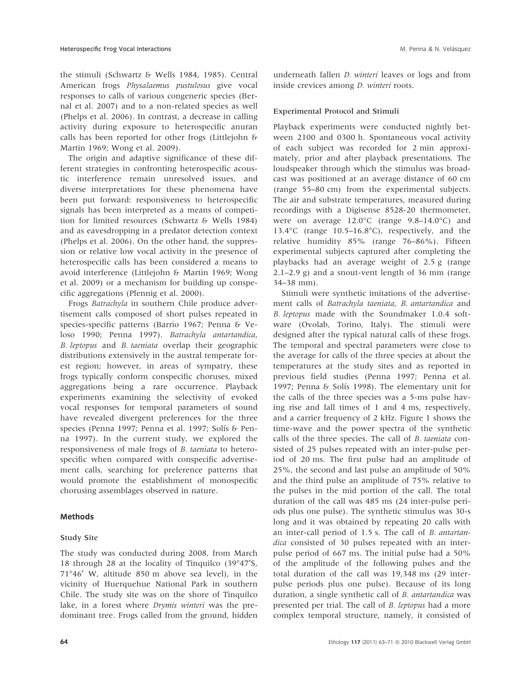the stimuli (Schwartz & Wells 1984, 1985). Central American frogs Physalaemus pustulosus give vocal responses to calls of various congeneric species (Bernal et al. 2007) and to a non-related species as well (Phelps et al. 2006). In contrast, a decrease in calling activity during exposure to heterospecific anuran calls has been reported for other frogs (Littlejohn & Martin 1969; Wong et al. 2009).

The origin and adaptive significance of these different strategies in confronting heterospecific acoustic interference remain unresolved issues, and diverse interpretations for these phenomena have been put forward: responsiveness to heterospecific signals has been interpreted as a means of competition for limited resources (Schwartz & Wells 1984) and as eavesdropping in a predator detection context (Phelps et al. 2006). On the other hand, the suppression or relative low vocal activity in the presence of heterospecific calls has been considered a means to avoid interference (Littlejohn & Martin 1969; Wong et al. 2009) or a mechanism for building up conspecific aggregations (Pfennig et al. 2000).

Frogs Batrachyla in southern Chile produce advertisement calls composed of short pulses repeated in species-specific patterns (Barrio 1967; Penna & Veloso 1990; Penna 1997). Batrachyla antartandica, B. leptopus and B. taeniata overlap their geographic distributions extensively in the austral temperate forest region; however, in areas of sympatry, these frogs typically conform conspecific choruses, mixed aggregations being a rare occurrence. Playback experiments examining the selectivity of evoked vocal responses for temporal parameters of sound have revealed divergent preferences for the three species (Penna 1997; Penna et al. 1997; Solís & Penna 1997). In the current study, we explored the responsiveness of male frogs of B. taeniata to heterospecific when compared with conspecific advertisement calls, searching for preference patterns that would promote the establishment of monospecific chorusing assemblages observed in nature.

## Methods

## Study Site

The study was conducted during 2008, from March 18 through 28 at the locality of Tinquilco (39°47'S, 71-46¢ W, altitude 850 m above sea level), in the vicinity of Huerquehue National Park in southern Chile. The study site was on the shore of Tinquilco lake, in a forest where Drymis winteri was the predominant tree. Frogs called from the ground, hidden

underneath fallen D. winteri leaves or logs and from inside crevices among D. winteri roots.

#### Experimental Protocol and Stimuli

Playback experiments were conducted nightly between 2100 and 0300 h. Spontaneous vocal activity of each subject was recorded for 2 min approximately, prior and after playback presentations. The loudspeaker through which the stimulus was broadcast was positioned at an average distance of 60 cm (range 55–80 cm) from the experimental subjects. The air and substrate temperatures, measured during recordings with a Digisense 8528-20 thermometer, were on average 12.0°C (range 9.8-14.0°C) and 13.4°C (range 10.5-16.8°C), respectively, and the relative humidity 85% (range 76–86%). Fifteen experimental subjects captured after completing the playbacks had an average weight of 2.5 g (range 2.1–2.9 g) and a snout-vent length of 36 mm (range 34–38 mm).

Stimuli were synthetic imitations of the advertisement calls of Batrachyla taeniata, B. antartandica and B. leptopus made with the Soundmaker 1.0.4 software (Ovolab, Torino, Italy). The stimuli were designed after the typical natural calls of these frogs. The temporal and spectral parameters were close to the average for calls of the three species at about the temperatures at the study sites and as reported in previous field studies (Penna 1997; Penna et al. 1997; Penna & Solís 1998). The elementary unit for the calls of the three species was a 5-ms pulse having rise and fall times of 1 and 4 ms, respectively, and a carrier frequency of 2 kHz. Figure 1 shows the time-wave and the power spectra of the synthetic calls of the three species. The call of B. taeniata consisted of 25 pulses repeated with an inter-pulse period of 20 ms. The first pulse had an amplitude of 25%, the second and last pulse an amplitude of 50% and the third pulse an amplitude of 75% relative to the pulses in the mid portion of the call. The total duration of the call was 485 ms (24 inter-pulse periods plus one pulse). The synthetic stimulus was 30-s long and it was obtained by repeating 20 calls with an inter-call period of 1.5 s. The call of B. antartandica consisted of 30 pulses repeated with an interpulse period of 667 ms. The initial pulse had a 50% of the amplitude of the following pulses and the total duration of the call was 19,348 ms (29 interpulse periods plus one pulse). Because of its long duration, a single synthetic call of B. antartandica was presented per trial. The call of B. leptopus had a more complex temporal structure, namely, it consisted of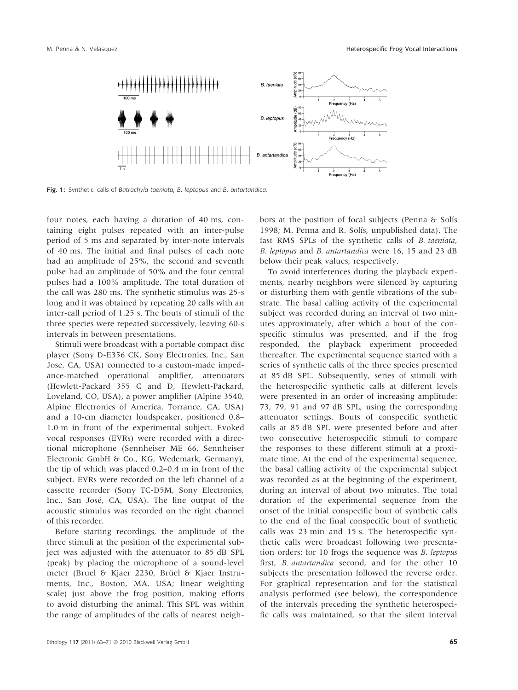

Fig. 1: Synthetic calls of Batrachyla taeniata, B. leptopus and B. antartandica.

four notes, each having a duration of 40 ms, containing eight pulses repeated with an inter-pulse period of 5 ms and separated by inter-note intervals of 40 ms. The initial and final pulses of each note had an amplitude of 25%, the second and seventh pulse had an amplitude of 50% and the four central pulses had a 100% amplitude. The total duration of the call was 280 ms. The synthetic stimulus was 25-s long and it was obtained by repeating 20 calls with an inter-call period of 1.25 s. The bouts of stimuli of the three species were repeated successively, leaving 60-s intervals in between presentations.

Stimuli were broadcast with a portable compact disc player (Sony D-E356 CK, Sony Electronics, Inc., San Jose, CA, USA) connected to a custom-made impedance-matched operational amplifier, attenuators (Hewlett-Packard 355 C and D, Hewlett-Packard, Loveland, CO, USA), a power amplifier (Alpine 3540, Alpine Electronics of America, Torrance, CA, USA) and a 10-cm diameter loudspeaker, positioned 0.8– 1.0 m in front of the experimental subject. Evoked vocal responses (EVRs) were recorded with a directional microphone (Sennheiser ME 66, Sennheiser Electronic GmbH & Co., KG, Wedemark, Germany), the tip of which was placed 0.2–0.4 m in front of the subject. EVRs were recorded on the left channel of a cassette recorder (Sony TC-D5M, Sony Electronics, Inc., San José, CA, USA). The line output of the acoustic stimulus was recorded on the right channel of this recorder.

Before starting recordings, the amplitude of the three stimuli at the position of the experimental subject was adjusted with the attenuator to 85 dB SPL (peak) by placing the microphone of a sound-level meter (Bruel & Kjaer 2230, Brüel & Kjaer Instruments, Inc., Boston, MA, USA; linear weighting scale) just above the frog position, making efforts to avoid disturbing the animal. This SPL was within the range of amplitudes of the calls of nearest neighbors at the position of focal subjects (Penna  $\delta$  Solís 1998; M. Penna and R. Solís, unpublished data). The fast RMS SPLs of the synthetic calls of B. taeniata, B. leptopus and B. antartandica were 16, 15 and 23 dB below their peak values, respectively.

To avoid interferences during the playback experiments, nearby neighbors were silenced by capturing or disturbing them with gentle vibrations of the substrate. The basal calling activity of the experimental subject was recorded during an interval of two minutes approximately, after which a bout of the conspecific stimulus was presented, and if the frog responded, the playback experiment proceeded thereafter. The experimental sequence started with a series of synthetic calls of the three species presented at 85 dB SPL. Subsequently, series of stimuli with the heterospecific synthetic calls at different levels were presented in an order of increasing amplitude: 73, 79, 91 and 97 dB SPL, using the corresponding attenuator settings. Bouts of conspecific synthetic calls at 85 dB SPL were presented before and after two consecutive heterospecific stimuli to compare the responses to these different stimuli at a proximate time. At the end of the experimental sequence, the basal calling activity of the experimental subject was recorded as at the beginning of the experiment, during an interval of about two minutes. The total duration of the experimental sequence from the onset of the initial conspecific bout of synthetic calls to the end of the final conspecific bout of synthetic calls was 23 min and 15 s. The heterospecific synthetic calls were broadcast following two presentation orders: for 10 frogs the sequence was B. leptopus first, B. antartandica second, and for the other 10 subjects the presentation followed the reverse order. For graphical representation and for the statistical analysis performed (see below), the correspondence of the intervals preceding the synthetic heterospecific calls was maintained, so that the silent interval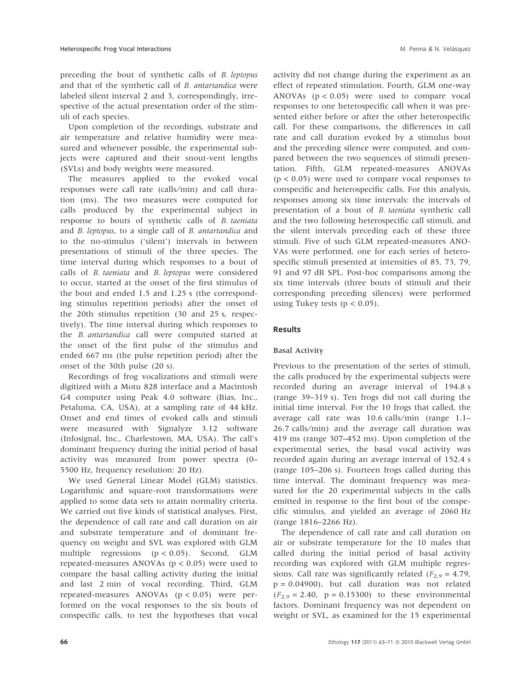preceding the bout of synthetic calls of B. leptopus and that of the synthetic call of B. antartandica were labeled silent interval 2 and 3, correspondingly, irrespective of the actual presentation order of the stimuli of each species.

Upon completion of the recordings, substrate and air temperature and relative humidity were measured and whenever possible, the experimental subjects were captured and their snout-vent lengths (SVLs) and body weights were measured.

The measures applied to the evoked vocal responses were call rate (calls⁄ min) and call duration (ms). The two measures were computed for calls produced by the experimental subject in response to bouts of synthetic calls of B. taeniata and B. leptopus, to a single call of B. antartandica and to the no-stimulus ('silent') intervals in between presentations of stimuli of the three species. The time interval during which responses to a bout of calls of B. taeniata and B. leptopus were considered to occur, started at the onset of the first stimulus of the bout and ended 1.5 and 1.25 s (the corresponding stimulus repetition periods) after the onset of the 20th stimulus repetition (30 and 25 s, respectively). The time interval during which responses to the B. antartandica call were computed started at the onset of the first pulse of the stimulus and ended 667 ms (the pulse repetition period) after the onset of the 30th pulse (20 s).

Recordings of frog vocalizations and stimuli were digitized with a Motu 828 interface and a Macintosh G4 computer using Peak 4.0 software (Bias, Inc., Petaluma, CA, USA), at a sampling rate of 44 kHz. Onset and end times of evoked calls and stimuli were measured with Signalyze 3.12 software (Infosignal, Inc., Charlestown, MA, USA). The call's dominant frequency during the initial period of basal activity was measured from power spectra (0– 5500 Hz, frequency resolution: 20 Hz).

We used General Linear Model (GLM) statistics. Logarithmic and square-root transformations were applied to some data sets to attain normality criteria. We carried out five kinds of statistical analyses. First, the dependence of call rate and call duration on air and substrate temperature and of dominant frequency on weight and SVL was explored with GLM multiple regressions (p < 0.05). Second, GLM repeated-measures ANOVAs ( $p < 0.05$ ) were used to compare the basal calling activity during the initial and last 2 min of vocal recording. Third, GLM repeated-measures ANOVAs (p < 0.05) were performed on the vocal responses to the six bouts of conspecific calls, to test the hypotheses that vocal

activity did not change during the experiment as an effect of repeated stimulation. Fourth, GLM one-way ANOVAs  $(p < 0.05)$  were used to compare vocal responses to one heterospecific call when it was presented either before or after the other heterospecific call. For these comparisons, the differences in call rate and call duration evoked by a stimulus bout and the preceding silence were computed, and compared between the two sequences of stimuli presentation. Fifth, GLM repeated-measures ANOVAs  $(p < 0.05)$  were used to compare vocal responses to conspecific and heterospecific calls. For this analysis, responses among six time intervals: the intervals of presentation of a bout of B. taeniata synthetic call and the two following heterospecific call stimuli, and the silent intervals preceding each of these three stimuli. Five of such GLM repeated-measures ANO-VAs were performed, one for each series of heterospecific stimuli presented at intensities of 85, 73, 79, 91 and 97 dB SPL. Post-hoc comparisons among the six time intervals (three bouts of stimuli and their corresponding preceding silences) were performed using Tukey tests ( $p < 0.05$ ).

## Results

## Basal Activity

Previous to the presentation of the series of stimuli, the calls produced by the experimental subjects were recorded during an average interval of 194.8 s (range 39–319 s). Ten frogs did not call during the initial time interval. For the 10 frogs that called, the average call rate was 10.6 calls⁄ min (range 1.1– 26.7 calls⁄min) and the average call duration was 419 ms (range 307–452 ms). Upon completion of the experimental series, the basal vocal activity was recorded again during an average interval of 152.4 s (range 105–206 s). Fourteen frogs called during this time interval. The dominant frequency was measured for the 20 experimental subjects in the calls emitted in response to the first bout of the conspecific stimulus, and yielded an average of 2060 Hz (range 1816–2266 Hz).

The dependence of call rate and call duration on air or substrate temperature for the 10 males that called during the initial period of basal activity recording was explored with GLM multiple regressions. Call rate was significantly related ( $F_{2,9} = 4.79$ ,  $p = 0.04900$ , but call duration was not related  $(F_{2,9} = 2.40, p = 0.15300)$  to these environmental factors. Dominant frequency was not dependent on weight or SVL, as examined for the 15 experimental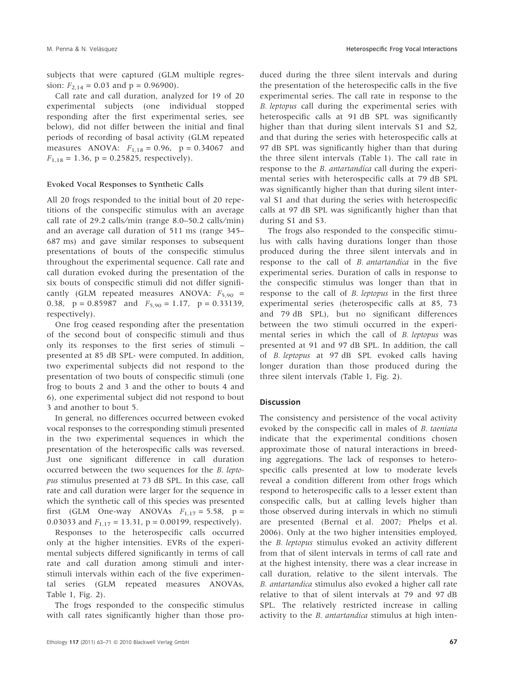subjects that were captured (GLM multiple regression:  $F_{2,14} = 0.03$  and  $p = 0.96900$ .

Call rate and call duration, analyzed for 19 of 20 experimental subjects (one individual stopped responding after the first experimental series, see below), did not differ between the initial and final periods of recording of basal activity (GLM repeated measures ANOVA:  $F_{1,18} = 0.96$ ,  $p = 0.34067$  and  $F_{1,18} = 1.36$ , p = 0.25825, respectively).

#### Evoked Vocal Responses to Synthetic Calls

All 20 frogs responded to the initial bout of 20 repetitions of the conspecific stimulus with an average call rate of 29.2 calls⁄ min (range 8.0–50.2 calls⁄ min) and an average call duration of 511 ms (range 345– 687 ms) and gave similar responses to subsequent presentations of bouts of the conspecific stimulus throughout the experimental sequence. Call rate and call duration evoked during the presentation of the six bouts of conspecific stimuli did not differ significantly (GLM repeated measures ANOVA:  $F_{5,90}$  = 0.38,  $p = 0.85987$  and  $F_{5,90} = 1.17$ ,  $p = 0.33139$ , respectively).

One frog ceased responding after the presentation of the second bout of conspecific stimuli and thus only its responses to the first series of stimuli – presented at 85 dB SPL- were computed. In addition, two experimental subjects did not respond to the presentation of two bouts of conspecific stimuli (one frog to bouts 2 and 3 and the other to bouts 4 and 6), one experimental subject did not respond to bout 3 and another to bout 5.

In general, no differences occurred between evoked vocal responses to the corresponding stimuli presented in the two experimental sequences in which the presentation of the heterospecific calls was reversed. Just one significant difference in call duration occurred between the two sequences for the B. leptopus stimulus presented at 73 dB SPL. In this case, call rate and call duration were larger for the sequence in which the synthetic call of this species was presented first (GLM One-way ANOVAs  $F_{1,17} = 5.58$ , p = 0.03033 and  $F_{1,17} = 13.31$ , p = 0.00199, respectively).

Responses to the heterospecific calls occurred only at the higher intensities. EVRs of the experimental subjects differed significantly in terms of call rate and call duration among stimuli and interstimuli intervals within each of the five experimental series (GLM repeated measures ANOVAs, Table 1, Fig. 2).

The frogs responded to the conspecific stimulus with call rates significantly higher than those produced during the three silent intervals and during the presentation of the heterospecific calls in the five experimental series. The call rate in response to the B. leptopus call during the experimental series with heterospecific calls at 91 dB SPL was significantly higher than that during silent intervals S1 and S2, and that during the series with heterospecific calls at 97 dB SPL was significantly higher than that during the three silent intervals (Table 1). The call rate in response to the B. antartandica call during the experimental series with heterospecific calls at 79 dB SPL was significantly higher than that during silent interval S1 and that during the series with heterospecific calls at 97 dB SPL was significantly higher than that during S1 and S3.

The frogs also responded to the conspecific stimulus with calls having durations longer than those produced during the three silent intervals and in response to the call of B. antartandica in the five experimental series. Duration of calls in response to the conspecific stimulus was longer than that in response to the call of B. leptopus in the first three experimental series (heterospecific calls at 85, 73 and 79 dB SPL), but no significant differences between the two stimuli occurred in the experimental series in which the call of B. leptopus was presented at 91 and 97 dB SPL. In addition, the call of B. leptopus at 97 dB SPL evoked calls having longer duration than those produced during the three silent intervals (Table 1, Fig. 2).

#### Discussion

The consistency and persistence of the vocal activity evoked by the conspecific call in males of B. taeniata indicate that the experimental conditions chosen approximate those of natural interactions in breeding aggregations. The lack of responses to heterospecific calls presented at low to moderate levels reveal a condition different from other frogs which respond to heterospecific calls to a lesser extent than conspecific calls, but at calling levels higher than those observed during intervals in which no stimuli are presented (Bernal et al. 2007; Phelps et al. 2006). Only at the two higher intensities employed, the B. leptopus stimulus evoked an activity different from that of silent intervals in terms of call rate and at the highest intensity, there was a clear increase in call duration, relative to the silent intervals. The B. antartandica stimulus also evoked a higher call rate relative to that of silent intervals at 79 and 97 dB SPL. The relatively restricted increase in calling activity to the *B. antartandica* stimulus at high inten-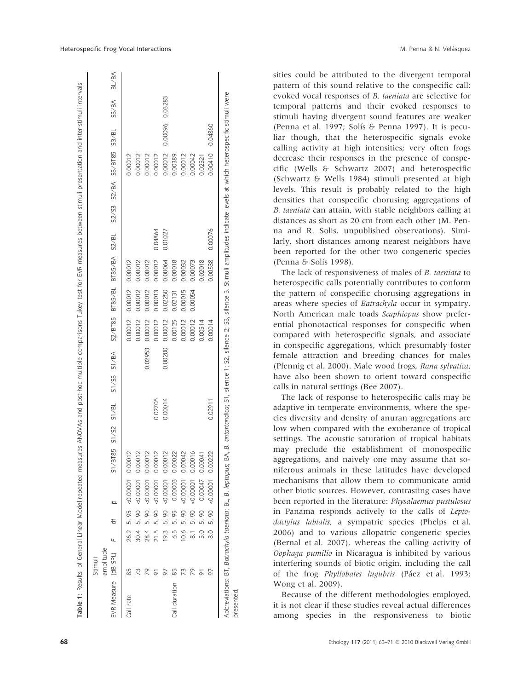|                      | Stimul    |      |       |                              |                               |         |             |         |                |               |         |                           |         |                 |         |              |
|----------------------|-----------|------|-------|------------------------------|-------------------------------|---------|-------------|---------|----------------|---------------|---------|---------------------------|---------|-----------------|---------|--------------|
| EVR Measure (dB SPL) | amplitude |      | ₹     | $\Omega$                     | /BT85 S1/52<br>$\overline{S}$ | S1/BL   | S1/S3 S1/BA | S2/BT85 | <b>BT85/BL</b> | BT85/BA S2/BL |         | S2/S3 S2/BA S3/BT85 S3/BL |         |                 | S3/BA   | <b>BL/BA</b> |
| Call rate            | 85        |      |       | 26.2 5, 95 < 0.00001 0.00012 |                               |         |             | 0.00012 | 0.00012        | 0.00012       |         |                           | 0.00012 |                 |         |              |
|                      | 73        | 30.4 | 5,90  | 0.00001                      | 0.00012                       |         |             | 0.00012 | 0.00012        | 0.00012       |         |                           | 0.00012 |                 |         |              |
|                      | 26        | 28.4 | 5,90  | $-0.00001$                   | 0.00012                       |         | 0.02953     | 0.00012 | 0.00012        | 0.00012       |         |                           | 0.00012 |                 |         |              |
|                      |           | 21.5 | 5,90  | $-0.00001$                   | 0.00012                       | 0.02705 |             | 0.00012 | 0.00013        | 0.00012       | 0.04864 |                           | 0.00012 |                 |         |              |
|                      |           | 19.3 | 5, 90 | $-0.00001$                   | 0.00012                       | 0.00014 | 0.00200     | 0.00012 | 02250          | 0.00064       | 0.01027 |                           | 0.00012 | 0.00096         | 0.03283 |              |
| Call duration        | 85        | 5.9  | 5, 95 | 0.00003                      | 0.00022                       |         |             | 0.00125 | 0.02131        | 0.00018       |         |                           | 0.00389 |                 |         |              |
|                      | 73        | 10.6 | 5,90  | $-0.00001$                   | 0.00042                       |         |             | 0.00012 | 0.00015        | 0.00032       |         |                           | 0.00012 |                 |         |              |
|                      | 79        |      | 5,90  | $-0.00001$                   | 0.00016                       |         |             | 0.00012 | 0.00054        | 0.00073       |         |                           | 0.00042 |                 |         |              |
|                      |           | 5.0  | 5,90  | 0.00047                      | 0.00041                       |         |             | 0.00514 |                | 0.02018       |         |                           | 0.02521 |                 |         |              |
|                      | 6         |      |       | 8.0 5, 90 < 0.00001 0.00222  |                               | 0.02911 |             | 0.00014 |                | 0.00538       | 0.00076 |                           |         | 0.00410 0.04860 |         |              |

sities could be attributed to the divergent temporal pattern of this sound relative to the conspecific call: evoked vocal responses of B. taeniata are selective for temporal patterns and their evoked responses to stimuli having divergent sound features are weaker (Penna et al. 1997; Solís & Penna 1997). It is peculiar though, that the heterospecific signals evoke calling activity at high intensities; very often frogs decrease their responses in the presence of conspecific (Wells & Schwartz 2007) and heterospecific (Schwartz & Wells 1984) stimuli presented at high levels. This result is probably related to the high densities that conspecific chorusing aggregations of B. taeniata can attain, with stable neighbors calling at distances as short as 20 cm from each other (M. Penna and R. Solis, unpublished observations). Similarly, short distances among nearest neighbors have been reported for the other two congeneric species (Penna & Solís 1998).

The lack of responsiveness of males of B. taeniata to heterospecific calls potentially contributes to conform the pattern of conspecific chorusing aggregations in areas where species of Batrachyla occur in sympatry. North American male toads Scaphiopus show preferential phonotactical responses for conspecific when compared with heterospecific signals, and associate in conspecific aggregations, which presumably foster female attraction and breeding chances for males (Pfennig et al. 2000). Male wood frogs, Rana sylvatica, have also been shown to orient toward conspecific calls in natural settings (Bee 2007).

The lack of response to heterospecific calls may be adaptive in temperate environments, where the species diversity and density of anuran aggregations are low when compared with the exuberance of tropical settings. The acoustic saturation of tropical habitats may preclude the establishment of monospecific aggregations, and naively one may assume that soniferous animals in these latitudes have developed mechanisms that allow them to communicate amid other biotic sources. However, contrasting cases have been reported in the literature: Physalaemus pustulosus in Panama responds actively to the calls of Leptodactylus labialis, a sympatric species (Phelps et al. 2006) and to various allopatric congeneric species (Bernal et al. 2007), whereas the calling activity of Oophaga pumilio in Nicaragua is inhibited by various interfering sounds of biotic origin, including the call of the frog *Phyllobates lugubris* (Páez et al. 1993; Wong et al. 2009).

Because of the different methodologies employed, it is not clear if these studies reveal actual differences among species in the responsiveness to biotic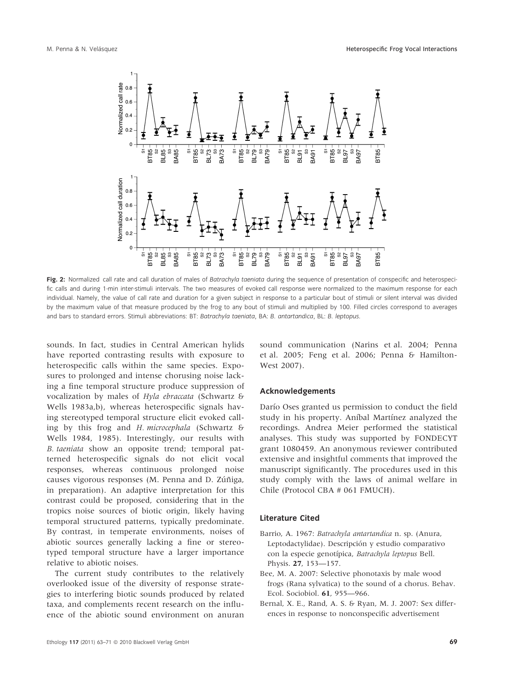

Fig. 2: Normalized call rate and call duration of males of Batrachyla taeniata during the sequence of presentation of conspecific and heterospecific calls and during 1-min inter-stimuli intervals. The two measures of evoked call response were normalized to the maximum response for each individual. Namely, the value of call rate and duration for a given subject in response to a particular bout of stimuli or silent interval was divided by the maximum value of that measure produced by the frog to any bout of stimuli and multiplied by 100. Filled circles correspond to averages and bars to standard errors. Stimuli abbreviations: BT: Batrachyla taeniata, BA: B. antartandica, BL: B. leptopus.

sounds. In fact, studies in Central American hylids have reported contrasting results with exposure to heterospecific calls within the same species. Exposures to prolonged and intense chorusing noise lacking a fine temporal structure produce suppression of vocalization by males of Hyla ebraccata (Schwartz & Wells 1983a,b), whereas heterospecific signals having stereotyped temporal structure elicit evoked calling by this frog and H. microcephala (Schwartz & Wells 1984, 1985). Interestingly, our results with B. taeniata show an opposite trend; temporal patterned heterospecific signals do not elicit vocal responses, whereas continuous prolonged noise causes vigorous responses (M. Penna and D. Zúñiga, in preparation). An adaptive interpretation for this contrast could be proposed, considering that in the tropics noise sources of biotic origin, likely having temporal structured patterns, typically predominate. By contrast, in temperate environments, noises of abiotic sources generally lacking a fine or stereotyped temporal structure have a larger importance relative to abiotic noises.

The current study contributes to the relatively overlooked issue of the diversity of response strategies to interfering biotic sounds produced by related taxa, and complements recent research on the influence of the abiotic sound environment on anuran sound communication (Narins et al. 2004; Penna et al. 2005; Feng et al. 2006; Penna & Hamilton-West 2007).

#### Acknowledgements

Darío Oses granted us permission to conduct the field study in his property. Anibal Martinez analyzed the recordings. Andrea Meier performed the statistical analyses. This study was supported by FONDECYT grant 1080459. An anonymous reviewer contributed extensive and insightful comments that improved the manuscript significantly. The procedures used in this study comply with the laws of animal welfare in Chile (Protocol CBA # 061 FMUCH).

## Literature Cited

- Barrio, A. 1967: Batrachyla antartandica n. sp. (Anura, Leptodactylidae). Descripción y estudio comparativo con la especie genotípica, Batrachyla leptopus Bell. Physis. 27, 153—157.
- Bee, M. A. 2007: Selective phonotaxis by male wood frogs (Rana sylvatica) to the sound of a chorus. Behav. Ecol. Sociobiol. 61, 955—966.
- Bernal, X. E., Rand, A. S. & Ryan, M. J. 2007: Sex differences in response to nonconspecific advertisement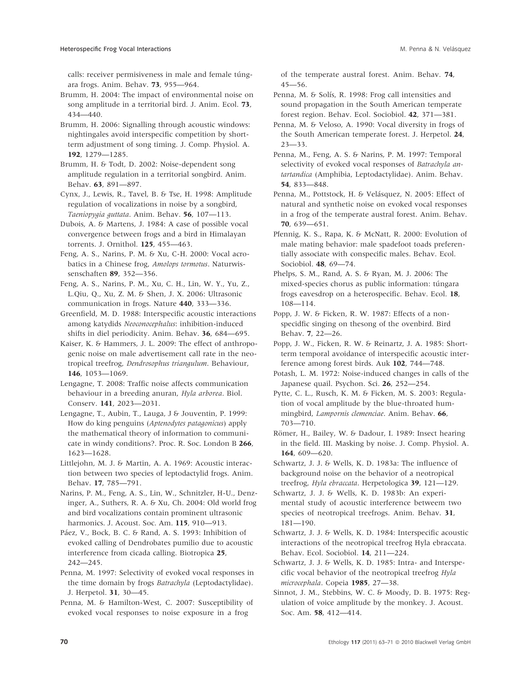calls: receiver permisiveness in male and female túngara frogs. Anim. Behav. 73, 955—964.

Brumm, H. 2004: The impact of environmental noise on song amplitude in a territorial bird. J. Anim. Ecol. 73, 434—440.

Brumm, H. 2006: Signalling through acoustic windows: nightingales avoid interspecific competition by shortterm adjustment of song timing. J. Comp. Physiol. A. 192, 1279—1285.

Brumm, H. & Todt, D. 2002: Noise-dependent song amplitude regulation in a territorial songbird. Anim. Behav. 63, 891—897.

Cynx, J., Lewis, R., Tavel, B. & Tse, H. 1998: Amplitude regulation of vocalizations in noise by a songbird, Taeniopygia guttata. Anim. Behav. 56, 107—113.

Dubois, A. & Martens, J. 1984: A case of possible vocal convergence between frogs and a bird in Himalayan torrents. J. Ornithol. 125, 455—463.

Feng, A. S., Narins, P. M. & Xu, C-H. 2000: Vocal acrobatics in a Chinese frog, Amolops tormotus. Naturwissenschaften 89, 352—356.

Feng, A. S., Narins, P. M., Xu, C. H., Lin, W. Y., Yu, Z., L.Qiu, Q., Xu, Z. M. & Shen, J. X. 2006: Ultrasonic communication in frogs. Nature 440, 333—336.

Greenfield, M. D. 1988: Interspecific acoustic interactions among katydids Neoconocephalus: inhibition-induced shifts in diel periodicity. Anim. Behav. 36, 684—695.

Kaiser, K. & Hammers, J. L. 2009: The effect of anthropogenic noise on male advertisement call rate in the neotropical treefrog, Dendrosophus triangulum. Behaviour, 146, 1053—1069.

Lengagne, T. 2008: Traffic noise affects communication behaviour in a breeding anuran, Hyla arborea. Biol. Conserv. 141, 2023—2031.

Lengagne, T., Aubin, T., Lauga, J & Jouventin, P. 1999: How do king penguins (Aptenodytes patagonicus) apply the mathematical theory of information to communicate in windy conditions?. Proc. R. Soc. London B 266, 1623—1628.

Littlejohn, M. J. & Martin, A. A. 1969: Acoustic interaction between two species of leptodactylid frogs. Anim. Behav. 17, 785—791.

Narins, P. M., Feng, A. S., Lin, W., Schnitzler, H-U., Denzinger, A., Suthers, R. A. & Xu, Ch. 2004: Old world frog and bird vocalizations contain prominent ultrasonic harmonics. J. Acoust. Soc. Am. 115, 910—913.

Páez, V., Bock, B. C. & Rand, A. S. 1993: Inhibition of evoked calling of Dendrobates pumilio due to acoustic interference from cicada calling. Biotropica 25, 242—245.

Penna, M. 1997: Selectivity of evoked vocal responses in the time domain by frogs Batrachyla (Leptodactylidae). J. Herpetol. 31, 30—45.

Penna, M. & Hamilton-West, C. 2007: Susceptibility of evoked vocal responses to noise exposure in a frog

of the temperate austral forest. Anim. Behav. 74, 45—56.

Penna, M. & Solís, R. 1998: Frog call intensities and sound propagation in the South American temperate forest region. Behav. Ecol. Sociobiol. 42, 371—381.

Penna, M. & Veloso, A. 1990: Vocal diversity in frogs of the South American temperate forest. J. Herpetol. 24, 23—33.

Penna, M., Feng, A. S. & Narins, P. M. 1997: Temporal selectivity of evoked vocal responses of Batrachyla antartandica (Amphibia, Leptodactylidae). Anim. Behav. 54, 833—848.

Penna, M., Pottstock, H. & Velásquez, N. 2005: Effect of natural and synthetic noise on evoked vocal responses in a frog of the temperate austral forest. Anim. Behav. 70, 639—651.

Pfennig, K. S., Rapa, K. & McNatt, R. 2000: Evolution of male mating behavior: male spadefoot toads preferentially associate with conspecific males. Behav. Ecol. Sociobiol. 48, 69—74.

Phelps, S. M., Rand, A. S. & Ryan, M. J. 2006: The mixed-species chorus as public information: túngara frogs eavesdrop on a heterospecific. Behav. Ecol. 18, 108—114.

Popp, J. W. & Ficken, R. W. 1987: Effects of a nonspecidfic singing on thesong of the ovenbird. Bird Behav. 7, 22—26.

Popp, J. W., Ficken, R. W. & Reinartz, J. A. 1985: Shortterm temporal avoidance of interspecific acoustic interference among forest birds. Auk 102, 744—748.

Potash, L. M. 1972: Noise-induced changes in calls of the Japanese quail. Psychon. Sci. 26, 252—254.

Pytte, C. L., Rusch, K. M. & Ficken, M. S. 2003: Regulation of vocal amplitude by the blue-throated hummingbird, Lampornis clemenciae. Anim. Behav. 66, 703—710.

Römer, H., Bailey, W. & Dadour, I. 1989: Insect hearing in the field. III. Masking by noise. J. Comp. Physiol. A. 164, 609—620.

Schwartz, J. J. & Wells, K. D. 1983a: The influence of background noise on the behavior of a neotropical treefrog, Hyla ebraccata. Herpetologica 39, 121—129.

Schwartz, J. J. & Wells, K. D. 1983b: An experimental study of acoustic interference betweem two species of neotropical treefrogs. Anim. Behav. 31, 181—190.

Schwartz, J. J. & Wells, K. D. 1984: Interspecific acoustic interactions of the neotropical treefrog Hyla ebraccata. Behav. Ecol. Sociobiol. 14, 211—224.

Schwartz, J. J. & Wells, K. D. 1985: Intra- and Interspecific vocal behavior of the neotropical treefrog Hyla microcephala. Copeia 1985, 27—38.

Sinnot, J. M., Stebbins, W. C. & Moody, D. B. 1975: Regulation of voice amplitude by the monkey. J. Acoust. Soc. Am. 58, 412—414.